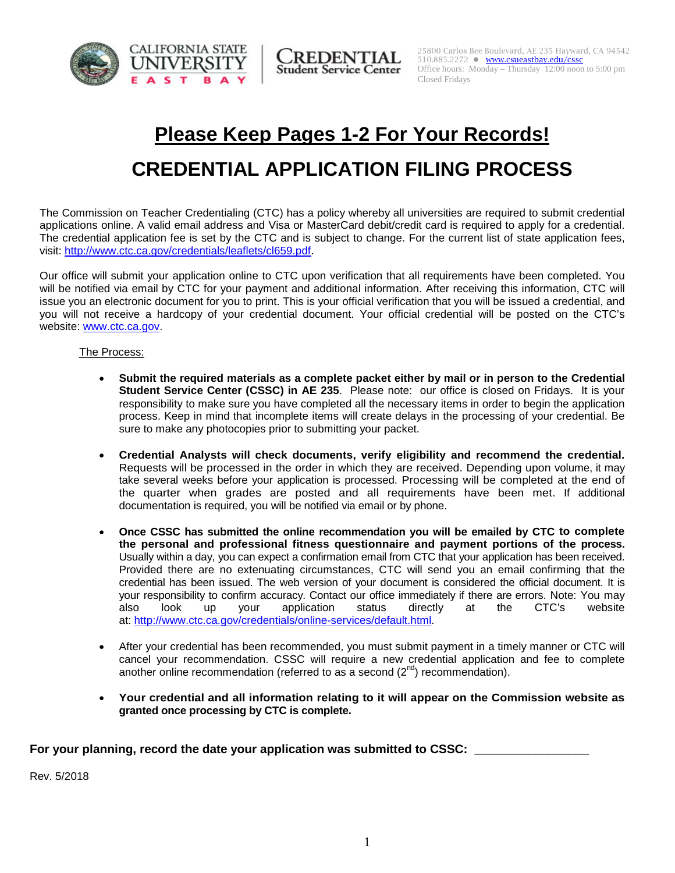



# **Please Keep Pages 1-2 For Your Records!**

# **CREDENTIAL APPLICATION FILING PROCESS**

The Commission on Teacher Credentialing (CTC) has a policy whereby all universities are required to submit credential applications online. A valid email address and Visa or MasterCard debit/credit card is required to apply for a credential. The credential application fee is set by the CTC and is subject to change. For the current list of state application fees, visit: [http://www.ctc.ca.gov/credentials/leaflets/cl659.pdf.](http://www.ctc.ca.gov/credentials/leaflets/cl659.pdf)

Our office will submit your application online to CTC upon verification that all requirements have been completed. You will be notified via email by CTC for your payment and additional information. After receiving this information, CTC will issue you an electronic document for you to print. This is your official verification that you will be issued a credential, and you will not receive a hardcopy of your credential document. Your official credential will be posted on the CTC's website: [www.ctc.ca.gov.](http://www.ctc.ca.gov/)

#### The Process:

- **Submit the required materials as a complete packet either by mail or in person to the Credential Student Service Center (CSSC) in AE 235**. Please note: our office is closed on Fridays. It is your responsibility to make sure you have completed all the necessary items in order to begin the application process. Keep in mind that incomplete items will create delays in the processing of your credential. Be sure to make any photocopies prior to submitting your packet.
- **Credential Analysts will check documents, verify eligibility and recommend the credential.** Requests will be processed in the order in which they are received. Depending upon volume, it may take several weeks before your application is processed. Processing will be completed at the end of the quarter when grades are posted and all requirements have been met. If additional documentation is required, you will be notified via email or by phone.
- **Once CSSC has submitted the online recommendation you will be emailed by CTC to complete the personal and professional fitness questionnaire and payment portions of the process.**  Usually within a day, you can expect a confirmation email from CTC that your application has been received. Provided there are no extenuating circumstances, CTC will send you an email confirming that the credential has been issued. The web version of your document is considered the official document. It is your responsibility to confirm accuracy. Contact our office immediately if there are errors. Note: You may also look up your application status directly at the CTC's website at: [http://www.ctc.ca.gov/credentials/online-services/default.html.](http://www.ctc.ca.gov/credentials/online-services/default.html)
- After your credential has been recommended, you must submit payment in a timely manner or CTC will cancel your recommendation. CSSC will require a new credential application and fee to complete another online recommendation (referred to as a second  $(2^{nd})$  recommendation).
- **Your credential and all information relating to it will appear on the Commission website as granted once processing by CTC is complete.**

For your planning, record the date your application was submitted to CSSC:

Rev. 5/2018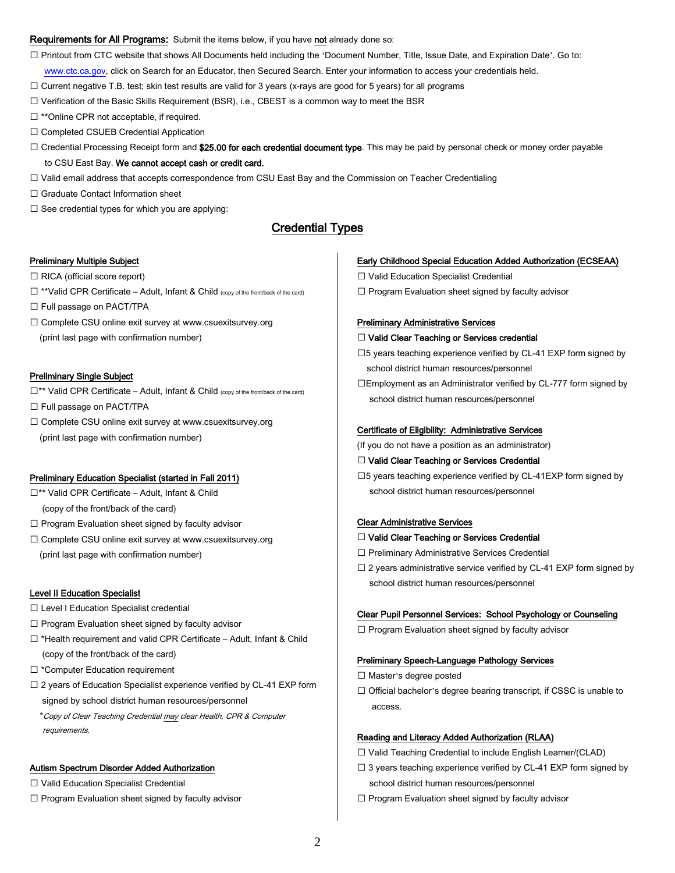#### Requirements for All Programs: Submit the items below, if you have not already done so:

Printout from CTC website that shows All Documents held including the 'Document Number, Title, Issue Date, and Expiration Date'. Go to:

[www.ctc.ca.gov,](http://www.ctc.ca.gov/) click on Search for an Educator, then Secured Search. Enter your information to access your credentials held.

 $\Box$  Current negative T.B. test; skin test results are valid for 3 years (x-rays are good for 5 years) for all programs

 $\square$  Verification of the Basic Skills Requirement (BSR), i.e., CBEST is a common way to meet the BSR

- $\Box$  \*\*Online CPR not acceptable, if required.
- Completed CSUEB Credential Application
- $\Box$  Credential Processing Receipt form and \$25.00 for each credential document type. This may be paid by personal check or money order payable to CSU East Bay. We cannot accept cash or credit card.
- Valid email address that accepts correspondence from CSU East Bay and the Commission on Teacher Credentialing
- □ Graduate Contact Information sheet
- $\square$  See credential types for which you are applying:

## Credential Types

#### Preliminary Multiple Subject

- $\Box$  RICA (official score report)
- $\Box$  \*\*Valid CPR Certificate Adult, Infant & Child (copy of the front/back of the card)

 $\Box$  Full passage on PACT/TPA

 Complete CSU online exit survey at www.csuexitsurvey.org (print last page with confirmation number)

#### Preliminary Single Subject

 $\Box$ \*\* Valid CPR Certificate – Adult, Infant & Child (copy of the front/back of the card)

□ Full passage on PACT/TPA

□ Complete CSU online exit survey at www.csuexitsurvey.org (print last page with confirmation number)

#### Preliminary Education Specialist (started in Fall 2011)

- □\*\* Valid CPR Certificate Adult, Infant & Child
- (copy of the front/back of the card)
- $\Box$  Program Evaluation sheet signed by faculty advisor
- Complete CSU online exit survey at www.csuexitsurvey.org (print last page with confirmation number)

#### Level II Education Specialist

requirements.

- $\square$  Level I Education Specialist credential
- $\Box$  Program Evaluation sheet signed by faculty advisor
- $\Box$  \*Health requirement and valid CPR Certificate Adult, Infant & Child (copy of the front/back of the card)
- □ \*Computer Education requirement
- □ 2 years of Education Specialist experience verified by CL-41 EXP form signed by school district human resources/personnel \*Copy of Clear Teaching Credential may clear Health, CPR & Computer

### Autism Spectrum Disorder Added Authorization

- □ Valid Education Specialist Credential
- $\Box$  Program Evaluation sheet signed by faculty advisor

#### Early Childhood Special Education Added Authorization (ECSEAA)

□ Valid Education Specialist Credential

 $\Box$  Program Evaluation sheet signed by faculty advisor

#### Preliminary Administrative Services

#### □ Valid Clear Teaching or Services credential

 $\square$ 5 years teaching experience verified by CL-41 EXP form signed by school district human resources/personnel

Employment as an Administrator verified by CL-777 form signed by school district human resources/personnel

#### Certificate of Eligibility: Administrative Services

(If you do not have a position as an administrator)

#### □ Valid Clear Teaching or Services Credential

 $\square$ 5 years teaching experience verified by CL-41EXP form signed by school district human resources/personnel

#### Clear Administrative Services

#### □ Valid Clear Teaching or Services Credential

- Preliminary Administrative Services Credential
- $\square$  2 years administrative service verified by CL-41 EXP form signed by school district human resources/personnel

#### Clear Pupil Personnel Services: School Psychology or Counseling

 $\Box$  Program Evaluation sheet signed by faculty advisor

#### Preliminary Speech-Language Pathology Services

- $\Box$  Master's degree posted
- $\Box$  Official bachelor's degree bearing transcript, if CSSC is unable to access.

#### Reading and Literacy Added Authorization (RLAA)

 $\Box$  Valid Teaching Credential to include English Learner/(CLAD)

- $\Box$  3 years teaching experience verified by CL-41 EXP form signed by school district human resources/personnel
- $\Box$  Program Evaluation sheet signed by faculty advisor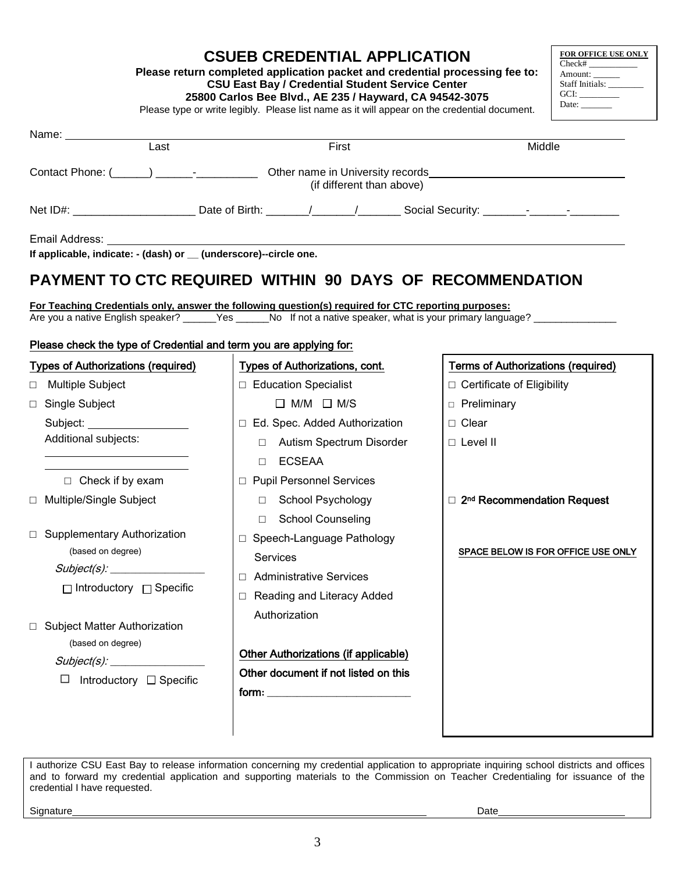| <b>CSUEB CREDENTIAL APPLICATION</b>                                          | FOR OFFICE USE ONLY<br>Check# |
|------------------------------------------------------------------------------|-------------------------------|
| Please return completed application packet and credential processing fee to: | Amount:                       |
| <b>CSU East Bay / Credential Student Service Center</b>                      | Staff Initials:               |
| 35000 Carles Bas Blud AE 335 / Houseard CA 04543 3075                        | GCI:                          |

**25800 Carlos Bee Blvd., AE 235 / Hayward, CA 94542-3075**

|                                                                    | 25800 Carlos Bee Blvd., AE 235 / Hayward, CA 94542-3075<br>Please type or write legibly. Please list name as it will appear on the credential document.                                                                           | GCI:<br>Date: $\qquad \qquad$             |
|--------------------------------------------------------------------|-----------------------------------------------------------------------------------------------------------------------------------------------------------------------------------------------------------------------------------|-------------------------------------------|
| Name: Name                                                         |                                                                                                                                                                                                                                   |                                           |
| Last                                                               | First                                                                                                                                                                                                                             | Middle                                    |
|                                                                    | (if different than above)                                                                                                                                                                                                         |                                           |
|                                                                    | Net ID#: ___________________________Date of Birth: _______/______/__________Social Security: _______-_-________                                                                                                                   |                                           |
| If applicable, indicate: - (dash) or _ (underscore)--circle one.   |                                                                                                                                                                                                                                   |                                           |
|                                                                    | PAYMENT TO CTC REQUIRED WITHIN 90 DAYS OF RECOMMENDATION                                                                                                                                                                          |                                           |
|                                                                    | For Teaching Credentials only, answer the following question(s) required for CTC reporting purposes:<br>Are you a native English speaker? _____Yes _____No If not a native speaker, what is your primary language? ______________ |                                           |
| Please check the type of Credential and term you are applying for: |                                                                                                                                                                                                                                   |                                           |
| <b>Types of Authorizations (required)</b>                          | Types of Authorizations, cont.                                                                                                                                                                                                    | <b>Terms of Authorizations (required)</b> |
| Multiple Subject<br>$\Box$                                         | □ Education Specialist                                                                                                                                                                                                            | □ Certificate of Eligibility              |
| Single Subject<br>$\Box$                                           | $\Box$ M/M $\Box$ M/S                                                                                                                                                                                                             | <b>D</b> Preliminary                      |
|                                                                    | □ Ed. Spec. Added Authorization                                                                                                                                                                                                   | $\Box$ Clear                              |
| Additional subjects:                                               | Autism Spectrum Disorder<br>$\Box$                                                                                                                                                                                                | $\Box$ Level II                           |
|                                                                    | <b>ECSEAA</b><br>$\Box$                                                                                                                                                                                                           |                                           |
| $\Box$ Check if by exam                                            | □ Pupil Personnel Services                                                                                                                                                                                                        |                                           |
| □ Multiple/Single Subject                                          | □ School Psychology                                                                                                                                                                                                               | □ 2 <sup>nd</sup> Recommendation Request  |
|                                                                    | □ School Counseling                                                                                                                                                                                                               |                                           |
| $\Box$ Supplementary Authorization                                 | □ Speech-Language Pathology                                                                                                                                                                                                       |                                           |
| (based on degree)                                                  | Services                                                                                                                                                                                                                          | SPACE BELOW IS FOR OFFICE USE ONLY        |
| Subject(s):                                                        | □ Administrative Services                                                                                                                                                                                                         |                                           |
| $\Box$ Introductory $\Box$ Specific                                | Reading and Literacy Added                                                                                                                                                                                                        |                                           |
|                                                                    | Authorization                                                                                                                                                                                                                     |                                           |
| □ Subject Matter Authorization                                     |                                                                                                                                                                                                                                   |                                           |
| (based on degree)                                                  | Other Authorizations (if applicable)                                                                                                                                                                                              |                                           |
| Subject(s):                                                        | Other document if not listed on this                                                                                                                                                                                              |                                           |
| Introductory $\Box$ Specific<br>ப                                  |                                                                                                                                                                                                                                   |                                           |
|                                                                    |                                                                                                                                                                                                                                   |                                           |
|                                                                    |                                                                                                                                                                                                                                   |                                           |

I authorize CSU East Bay to release information concerning my credential application to appropriate inquiring school districts and offices and to forward my credential application and supporting materials to the Commission on Teacher Credentialing for issuance of the credential I have requested.

Signature Date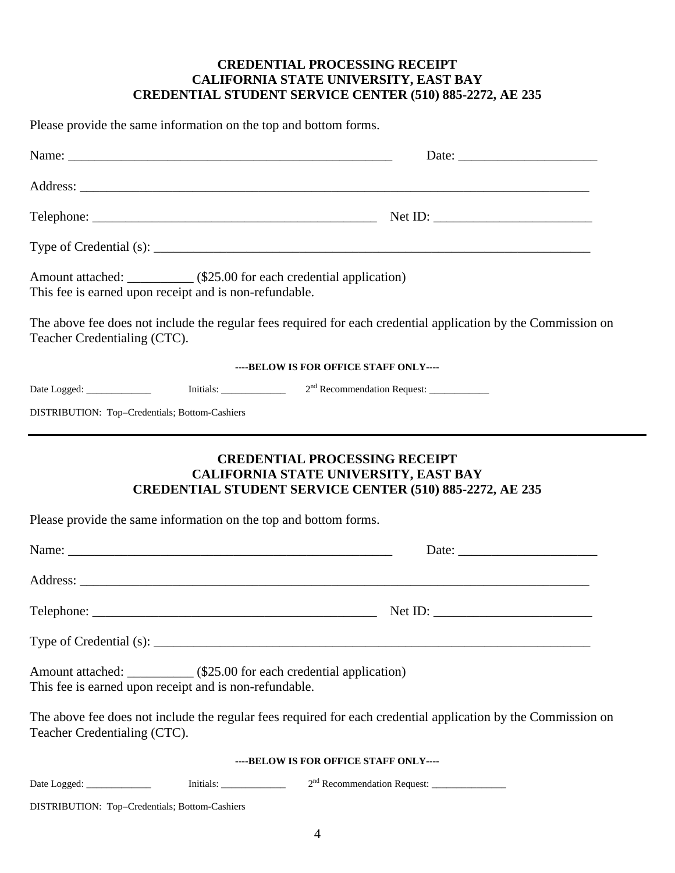## **CREDENTIAL PROCESSING RECEIPT CALIFORNIA STATE UNIVERSITY, EAST BAY CREDENTIAL STUDENT SERVICE CENTER (510) 885-2272, AE 235**

Please provide the same information on the top and bottom forms. Name: \_\_\_\_\_\_\_\_\_\_\_\_\_\_\_\_\_\_\_\_\_\_\_\_\_\_\_\_\_\_\_\_\_\_\_\_\_\_\_\_\_\_\_\_\_\_\_\_\_ Date: \_\_\_\_\_\_\_\_\_\_\_\_\_\_\_\_\_\_\_\_\_ Address: \_\_\_\_\_\_\_\_\_\_\_\_\_\_\_\_\_\_\_\_\_\_\_\_\_\_\_\_\_\_\_\_\_\_\_\_\_\_\_\_\_\_\_\_\_\_\_\_\_\_\_\_\_\_\_\_\_\_\_\_\_\_\_\_\_\_\_\_\_\_\_\_\_\_\_\_\_ Telephone: \_\_\_\_\_\_\_\_\_\_\_\_\_\_\_\_\_\_\_\_\_\_\_\_\_\_\_\_\_\_\_\_\_\_\_\_\_\_\_\_\_\_\_ Net ID: \_\_\_\_\_\_\_\_\_\_\_\_\_\_\_\_\_\_\_\_\_\_\_\_ Type of Credential (s): \_\_\_\_\_\_\_\_\_\_\_\_\_\_\_\_\_\_\_\_\_\_\_\_\_\_\_\_\_\_\_\_\_\_\_\_\_\_\_\_\_\_\_\_\_\_\_\_\_\_\_\_\_\_\_\_\_\_\_\_\_\_\_\_\_\_ Amount attached: \_\_\_\_\_\_\_\_\_\_ (\$25.00 for each credential application) This fee is earned upon receipt and is non-refundable. The above fee does not include the regular fees required for each credential application by the Commission on Teacher Credentialing (CTC). **----BELOW IS FOR OFFICE STAFF ONLY----** Date Logged:  $\qquad \qquad$  Initials:  $2^{nd}$  Recommendation Request: DISTRIBUTION: Top–Credentials; Bottom-Cashiers **CREDENTIAL PROCESSING RECEIPT CALIFORNIA STATE UNIVERSITY, EAST BAY CREDENTIAL STUDENT SERVICE CENTER (510) 885-2272, AE 235** Please provide the same information on the top and bottom forms. Name: \_\_\_\_\_\_\_\_\_\_\_\_\_\_\_\_\_\_\_\_\_\_\_\_\_\_\_\_\_\_\_\_\_\_\_\_\_\_\_\_\_\_\_\_\_\_\_\_\_ Date: \_\_\_\_\_\_\_\_\_\_\_\_\_\_\_\_\_\_\_\_\_ Address: \_\_\_\_\_\_\_\_\_\_\_\_\_\_\_\_\_\_\_\_\_\_\_\_\_\_\_\_\_\_\_\_\_\_\_\_\_\_\_\_\_\_\_\_\_\_\_\_\_\_\_\_\_\_\_\_\_\_\_\_\_\_\_\_\_\_\_\_\_\_\_\_\_\_\_\_\_ Telephone: \_\_\_\_\_\_\_\_\_\_\_\_\_\_\_\_\_\_\_\_\_\_\_\_\_\_\_\_\_\_\_\_\_\_\_\_\_\_\_\_\_\_\_ Net ID: \_\_\_\_\_\_\_\_\_\_\_\_\_\_\_\_\_\_\_\_\_\_\_\_ Type of Credential (s): \_\_\_\_\_\_\_\_\_\_\_\_\_\_\_\_\_\_\_\_\_\_\_\_\_\_\_\_\_\_\_\_\_\_\_\_\_\_\_\_\_\_\_\_\_\_\_\_\_\_\_\_\_\_\_\_\_\_\_\_\_\_\_\_\_\_ Amount attached: \_\_\_\_\_\_\_\_\_\_ (\$25.00 for each credential application) This fee is earned upon receipt and is non-refundable. The above fee does not include the regular fees required for each credential application by the Commission on Teacher Credentialing (CTC).

### **----BELOW IS FOR OFFICE STAFF ONLY----**

Date Logged: \_\_\_\_\_\_\_\_\_\_\_\_\_ Initials: \_\_\_\_\_\_\_\_\_\_\_\_\_ 2nd Recommendation Request: \_\_\_\_\_\_\_\_\_\_\_\_\_\_\_

DISTRIBUTION: Top–Credentials; Bottom-Cashiers